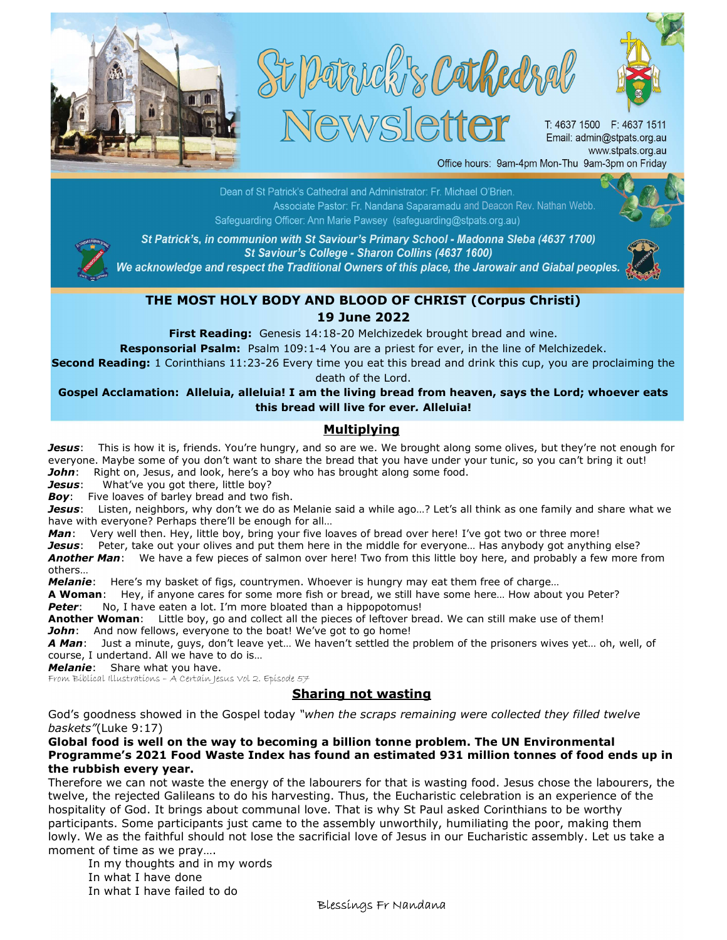





T: 4637 1500 F: 4637 1511 Email: admin@stpats.org.au www.stpats.org.au Office hours: 9am-4pm Mon-Thu 9am-3pm on Friday

and Deacon: Rev. Nathan Webb.<br>and Deacon: Rev. Nathan Webb. Safeguarding Officer: Ann Marie Pawsey (safeguarding@stpats.org.au)



St Patrick's, in communion with St Saviour's Primary School - Madonna Sleba (4637 1700) St Saviour's College - Sharon Collins (4637 1600)

We acknowledge and respect the Traditional Owners of this place, the Jarowair and Giabal peoples.



## THE MOST HOLY BODY AND BLOOD OF CHRIST (Corpus Christi) 19 June 2022

First Reading: Genesis 14:18-20 Melchizedek brought bread and wine.

Responsorial Psalm: Psalm 109:1-4 You are a priest for ever, in the line of Melchizedek.

Second Reading: 1 Corinthians 11:23-26 Every time you eat this bread and drink this cup, you are proclaiming the death of the Lord.

Gospel Acclamation: Alleluia, alleluia! I am the living bread from heaven, says the Lord; whoever eats this bread will live for ever. Alleluia!

## **Multiplying**

Jesus: This is how it is, friends. You're hungry, and so are we. We brought along some olives, but they're not enough for everyone. Maybe some of you don't want to share the bread that you have under your tunic, so you can't bring it out! John: Right on, Jesus, and look, here's a boy who has brought along some food.

Jesus: What've you got there, little boy?

Boy: Five loaves of barley bread and two fish.

Jesus: Listen, neighbors, why don't we do as Melanie said a while ago...? Let's all think as one family and share what we have with everyone? Perhaps there'll be enough for all…

Man: Very well then. Hey, little boy, bring your five loaves of bread over here! I've got two or three more!

Jesus: Peter, take out your olives and put them here in the middle for everyone... Has anybody got anything else? Another Man: We have a few pieces of salmon over here! Two from this little boy here, and probably a few more from others…

Melanie: Here's my basket of figs, countrymen. Whoever is hungry may eat them free of charge...

A Woman: Hey, if anyone cares for some more fish or bread, we still have some here... How about you Peter? Peter: No, I have eaten a lot. I'm more bloated than a hippopotomus!

Another Woman: Little boy, go and collect all the pieces of leftover bread. We can still make use of them! John: And now fellows, everyone to the boat! We've got to go home!

A Man: Just a minute, guys, don't leave yet... We haven't settled the problem of the prisoners wives yet... oh, well, of course, I undertand. All we have to do is…

Melanie: Share what you have.

From Biblical Illustrations - A Certain Jesus Vol 2. Episode 57

## Sharing not wasting

God's goodness showed in the Gospel today "when the scraps remaining were collected they filled twelve baskets"(Luke 9:17)

## Global food is well on the way to becoming a billion tonne problem. The UN Environmental Programme's 2021 Food Waste Index has found an estimated 931 million tonnes of food ends up in the rubbish every year.

Therefore we can not waste the energy of the labourers for that is wasting food. Jesus chose the labourers, the twelve, the rejected Galileans to do his harvesting. Thus, the Eucharistic celebration is an experience of the hospitality of God. It brings about communal love. That is why St Paul asked Corinthians to be worthy participants. Some participants just came to the assembly unworthily, humiliating the poor, making them lowly. We as the faithful should not lose the sacrificial love of Jesus in our Eucharistic assembly. Let us take a moment of time as we pray….

 In my thoughts and in my words In what I have done In what I have failed to do

Blessings Fr Nandana